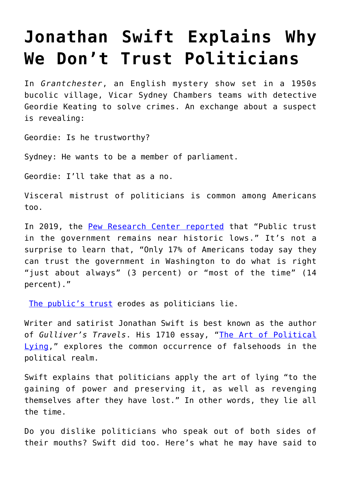## **[Jonathan Swift Explains Why](https://intellectualtakeout.org/2019/12/jonathan-swift-explains-why-we-dont-trust-politicians/) [We Don't Trust Politicians](https://intellectualtakeout.org/2019/12/jonathan-swift-explains-why-we-dont-trust-politicians/)**

In *Grantchester*, an English mystery show set in a 1950s bucolic village, Vicar Sydney Chambers teams with detective Geordie Keating to solve crimes. An exchange about a suspect is revealing:

Geordie: Is he trustworthy?

Sydney: He wants to be a member of parliament.

Geordie: I'll take that as a no.

Visceral mistrust of politicians is common among Americans too.

In 2019, the [Pew Research Center reported](https://www.people-press.org/2019/04/11/public-trust-in-government-1958-2019/) that "Public trust in the government remains near historic lows." It's not a surprise to learn that, "Only 17% of Americans today say they can trust the government in Washington to do what is right "just about always" (3 percent) or "most of the time" (14 percent)."

[The public's trust](https://insight.kellogg.northwestern.edu/article/cultivating-trust-is-critical-and-surprisingly-complex) erodes as politicians lie.

Writer and satirist Jonathan Swift is best known as the author of *Gulliver's Travels*. His 1710 essay, "[The Art of Political](http://www.fountainheadpress.com/expandingthearc/assets/swiftpoliticallying.pdf) [Lying](http://www.fountainheadpress.com/expandingthearc/assets/swiftpoliticallying.pdf)," explores the common occurrence of falsehoods in the political realm.

Swift explains that politicians apply the art of lying "to the gaining of power and preserving it, as well as revenging themselves after they have lost." In other words, they lie all the time.

Do you dislike politicians who speak out of both sides of their mouths? Swift did too. Here's what he may have said to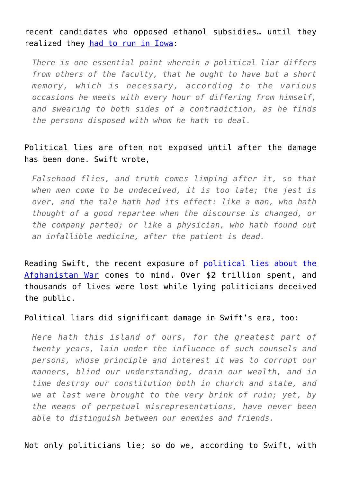recent candidates who opposed ethanol subsidies… until they realized they [had to run in Iowa:](https://www.politico.com/magazine/story/2019/03/05/2020-democrats-ethanol-225517)

*There is one essential point wherein a political liar differs from others of the faculty, that he ought to have but a short memory, which is necessary, according to the various occasions he meets with every hour of differing from himself, and swearing to both sides of a contradiction, as he finds the persons disposed with whom he hath to deal.*

## Political lies are often not exposed until after the damage has been done. Swift wrote,

*Falsehood flies, and truth comes limping after it, so that when men come to be undeceived, it is too late; the jest is over, and the tale hath had its effect: like a man, who hath thought of a good repartee when the discourse is changed, or the company parted; or like a physician, who hath found out an infallible medicine, after the patient is dead.*

Reading Swift, the recent exposure of [political lies about the](https://www.intellectualtakeout.org/article/five-infuriating-takeaways-afghanistan-papers) [Afghanistan War](https://www.intellectualtakeout.org/article/five-infuriating-takeaways-afghanistan-papers) comes to mind. Over \$2 trillion spent, and thousands of lives were lost while lying politicians deceived the public.

## Political liars did significant damage in Swift's era, too:

*Here hath this island of ours, for the greatest part of twenty years, lain under the influence of such counsels and persons, whose principle and interest it was to corrupt our manners, blind our understanding, drain our wealth, and in time destroy our constitution both in church and state, and we at last were brought to the very brink of ruin; yet, by the means of perpetual misrepresentations, have never been able to distinguish between our enemies and friends.*

Not only politicians lie; so do we, according to Swift, with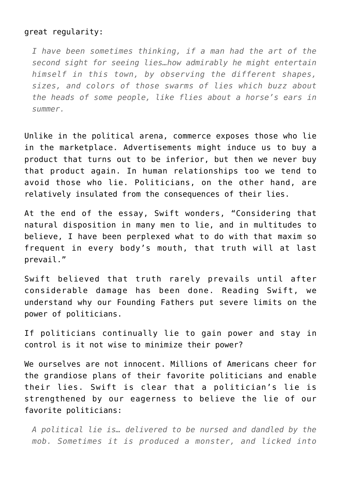## great regularity:

*I have been sometimes thinking, if a man had the art of the second sight for seeing lies…how admirably he might entertain himself in this town, by observing the different shapes, sizes, and colors of those swarms of lies which buzz about the heads of some people, like flies about a horse's ears in summer.*

Unlike in the political arena, commerce exposes those who lie in the marketplace. Advertisements might induce us to buy a product that turns out to be inferior, but then we never buy that product again. In human relationships too we tend to avoid those who lie. Politicians, on the other hand, are relatively insulated from the consequences of their lies.

At the end of the essay, Swift wonders, "Considering that natural disposition in many men to lie, and in multitudes to believe, I have been perplexed what to do with that maxim so frequent in every body's mouth, that truth will at last prevail."

Swift believed that truth rarely prevails until after considerable damage has been done. Reading Swift, we understand why our Founding Fathers put severe limits on the power of politicians.

If politicians continually lie to gain power and stay in control is it not wise to minimize their power?

We ourselves are not innocent. Millions of Americans cheer for the grandiose plans of their favorite politicians and enable their lies. Swift is clear that a politician's lie is strengthened by our eagerness to believe the lie of our favorite politicians:

*A political lie is… delivered to be nursed and dandled by the mob. Sometimes it is produced a monster, and licked into*